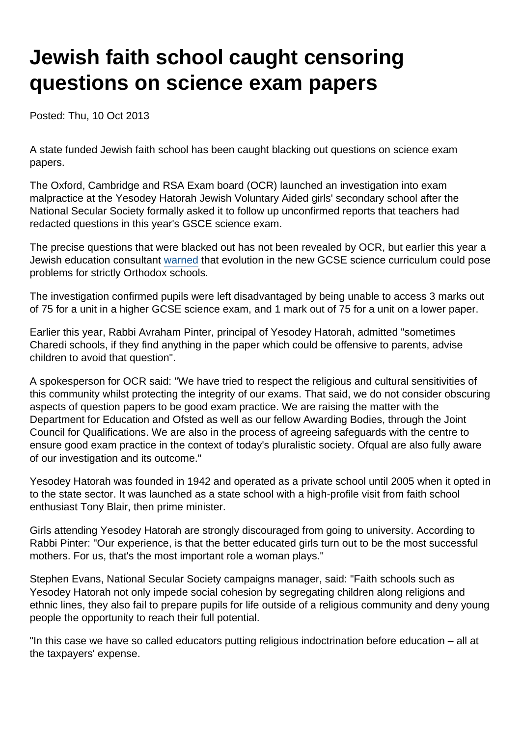## Jewish faith school caught censoring questions on science exam papers

Posted: Thu, 10 Oct 2013

A state funded Jewish faith school has been caught blacking out questions on science exam papers.

The Oxford, Cambridge and RSA Exam board (OCR) launched an investigation into exam malpractice at the Yesodey Hatorah Jewish Voluntary Aided girls' secondary school after the National Secular Society formally asked it to follow up unconfirmed reports that teachers had redacted questions in this year's GSCE science exam.

The precise questions that were blacked out has not been revealed by OCR, but earlier this year a Jewish education consultant [warned](https://www.secularism.org.uk/news/2013/06/evolution-problematic-for-orthodox-jewish-faith-schools) that evolution in the new GCSE science curriculum could pose problems for strictly Orthodox schools.

The investigation confirmed pupils were left disadvantaged by being unable to access 3 marks out of 75 for a unit in a higher GCSE science exam, and 1 mark out of 75 for a unit on a lower paper.

Earlier this year, Rabbi Avraham Pinter, principal of Yesodey Hatorah, admitted "sometimes Charedi schools, if they find anything in the paper which could be offensive to parents, advise children to avoid that question".

A spokesperson for OCR said: "We have tried to respect the religious and cultural sensitivities of this community whilst protecting the integrity of our exams. That said, we do not consider obscuring aspects of question papers to be good exam practice. We are raising the matter with the Department for Education and Ofsted as well as our fellow Awarding Bodies, through the Joint Council for Qualifications. We are also in the process of agreeing safeguards with the centre to ensure good exam practice in the context of today's pluralistic society. Ofqual are also fully aware of our investigation and its outcome."

Yesodey Hatorah was founded in 1942 and operated as a private school until 2005 when it opted in to the state sector. It was launched as a state school with a high-profile visit from faith school enthusiast Tony Blair, then prime minister.

Girls attending Yesodey Hatorah are strongly discouraged from going to university. According to Rabbi Pinter: "Our experience, is that the better educated girls turn out to be the most successful mothers. For us, that's the most important role a woman plays."

Stephen Evans, National Secular Society campaigns manager, said: "Faith schools such as Yesodey Hatorah not only impede social cohesion by segregating children along religions and ethnic lines, they also fail to prepare pupils for life outside of a religious community and deny young people the opportunity to reach their full potential.

"In this case we have so called educators putting religious indoctrination before education – all at the taxpayers' expense.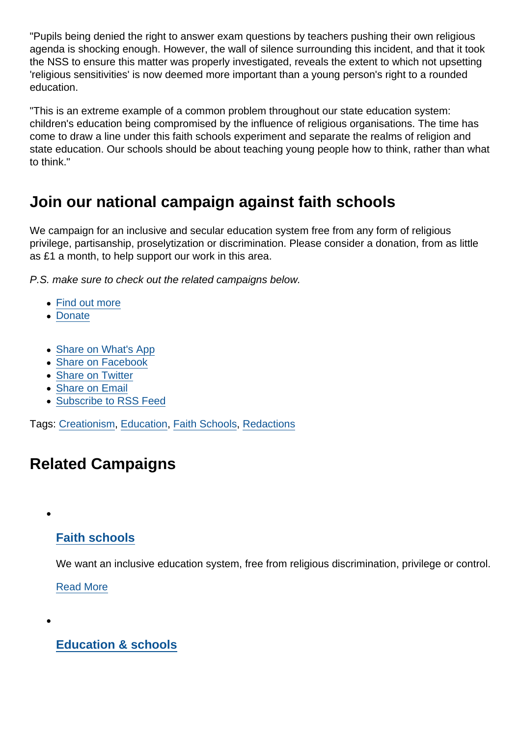"Pupils being denied the right to answer exam questions by teachers pushing their own religious agenda is shocking enough. However, the wall of silence surrounding this incident, and that it took the NSS to ensure this matter was properly investigated, reveals the extent to which not upsetting 'religious sensitivities' is now deemed more important than a young person's right to a rounded education.

"This is an extreme example of a common problem throughout our state education system: children's education being compromised by the influence of religious organisations. The time has come to draw a line under this faith schools experiment and separate the realms of religion and state education. Our schools should be about teaching young people how to think, rather than what to think."

## Join our national campaign against faith schools

We campaign for an inclusive and secular education system free from any form of religious privilege, partisanship, proselytization or discrimination. Please consider a donation, from as little as £1 a month, to help support our work in this area.

P.S. make sure to check out the related campaigns below.

- [Find out more](https://www.secularism.org.uk/faith-schools/)
- [Donate](https://www.secularism.org.uk/donate.html)
- [Share on What's App](whatsapp://send?text=http://www.secularism.org.uk/news/2013/10/jewish-faith-school-caught-censoring-questions-on-science-exam-papers?format=pdf)
- [Share on Facebook](https://www.facebook.com/sharer/sharer.php?u=http://www.secularism.org.uk/news/2013/10/jewish-faith-school-caught-censoring-questions-on-science-exam-papers?format=pdf&t=Jewish+faith+school+caught+censoring+questions+on+science+exam+papers)
- [Share on Twitter](https://twitter.com/intent/tweet?url=http://www.secularism.org.uk/news/2013/10/jewish-faith-school-caught-censoring-questions-on-science-exam-papers?format=pdf&text=Jewish+faith+school+caught+censoring+questions+on+science+exam+papers&via=NatSecSoc)
- [Share on Email](https://www.secularism.org.uk/share.html?url=http://www.secularism.org.uk/news/2013/10/jewish-faith-school-caught-censoring-questions-on-science-exam-papers?format=pdf&title=Jewish+faith+school+caught+censoring+questions+on+science+exam+papers)
- [Subscribe to RSS Feed](/mnt/web-data/www/cp-nss/feeds/rss/news)

Tags: [Creationism](https://www.secularism.org.uk/news/tags/Creationism), [Education](https://www.secularism.org.uk/news/tags/Education), [Faith Schools,](https://www.secularism.org.uk/news/tags/Faith+Schools) [Redactions](https://www.secularism.org.uk/news/tags/Redactions)

## Related Campaigns

## [Faith schools](https://www.secularism.org.uk/faith-schools/)

We want an inclusive education system, free from religious discrimination, privilege or control.

[Read More](https://www.secularism.org.uk/faith-schools/)

[Education & schools](https://www.secularism.org.uk/education/)